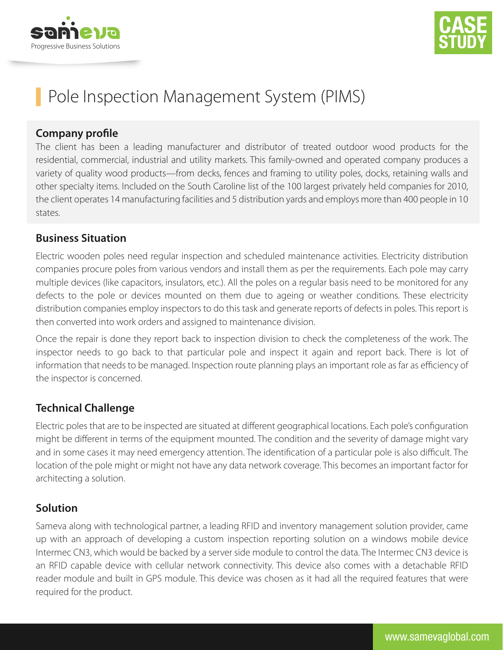



# Pole Inspection Management System (PIMS)

# **Company profile**

The client has been a leading manufacturer and distributor of treated outdoor wood products for the residential, commercial, industrial and utility markets. This family-owned and operated company produces a variety of quality wood products—from decks, fences and framing to utility poles, docks, retaining walls and other specialty items. Included on the South Caroline list of the 100 largest privately held companies for 2010, the client operates 14 manufacturing facilities and 5 distribution yards and employs more than 400 people in 10 states.

# **Business Situation**

Electric wooden poles need regular inspection and scheduled maintenance activities. Electricity distribution companies procure poles from various vendors and install them as per the requirements. Each pole may carry multiple devices (like capacitors, insulators, etc.). All the poles on a regular basis need to be monitored for any defects to the pole or devices mounted on them due to ageing or weather conditions. These electricity distribution companies employ inspectors to do this task and generate reports of defects in poles. This report is then converted into work orders and assigned to maintenance division.

Once the repair is done they report back to inspection division to check the completeness of the work. The inspector needs to go back to that particular pole and inspect it again and report back. There is lot of information that needs to be managed. Inspection route planning plays an important role as far as efficiency of the inspector is concerned.

# **Technical Challenge**

Electric poles that are to be inspected are situated at different geographical locations. Each pole's configuration might be different in terms of the equipment mounted. The condition and the severity of damage might vary and in some cases it may need emergency attention. The identification of a particular pole is also difficult. The location of the pole might or might not have any data network coverage. This becomes an important factor for architecting a solution.

# **Solution**

Sameva along with technological partner, a leading RFID and inventory management solution provider, came up with an approach of developing a custom inspection reporting solution on a windows mobile device Intermec CN3, which would be backed by a server side module to control the data. The Intermec CN3 device is an RFID capable device with cellular network connectivity. This device also comes with a detachable RFID reader module and built in GPS module. This device was chosen as it had all the required features that were required for the product.